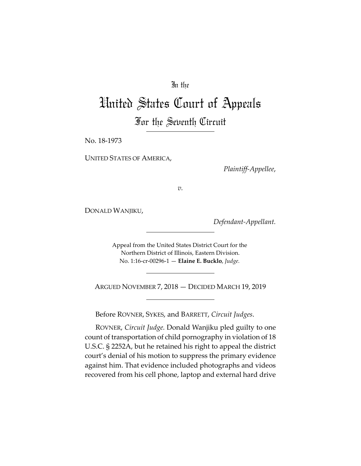# In the

# United States Court of Appeals For the Seventh Circuit

No. 18-1973

UNITED STATES OF AMERICA,

*Plaintiff-Appellee*,

*v.*

DONALD WANJIKU,

*Defendant-Appellant.*

Appeal from the United States District Court for the Northern District of Illinois, Eastern Division. No. 1:16-cr-00296-1 — **Elaine E. Bucklo**, *Judge.*

ARGUED NOVEMBER 7, 2018 — DECIDED MARCH 19, 2019

Before ROVNER, SYKES, and BARRETT, *Circuit Judges*.

ROVNER, *Circuit Judge.* Donald Wanjiku pled guilty to one count of transportation of child pornography in violation of 18 U.S.C. § 2252A, but he retained his right to appeal the district court's denial of his motion to suppress the primary evidence against him. That evidence included photographs and videos recovered from his cell phone, laptop and external hard drive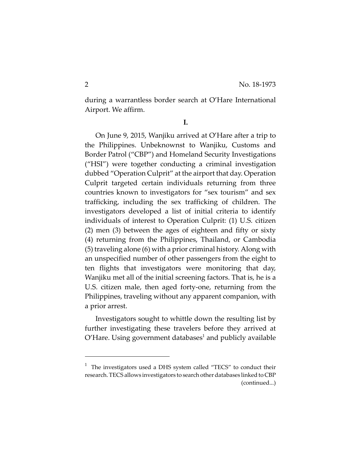during a warrantless border search at O'Hare International Airport. We affirm.

**I.**

On June 9, 2015, Wanjiku arrived at O'Hare after a trip to the Philippines. Unbeknownst to Wanjiku, Customs and Border Patrol ("CBP") and Homeland Security Investigations ("HSI") were together conducting a criminal investigation dubbed "Operation Culprit" at the airport that day. Operation Culprit targeted certain individuals returning from three countries known to investigators for "sex tourism" and sex trafficking, including the sex trafficking of children. The investigators developed a list of initial criteria to identify individuals of interest to Operation Culprit: (1) U.S. citizen (2) men (3) between the ages of eighteen and fifty or sixty (4) returning from the Philippines, Thailand, or Cambodia (5) traveling alone (6) with a prior criminal history. Along with an unspecified number of other passengers from the eight to ten flights that investigators were monitoring that day, Wanjiku met all of the initial screening factors. That is, he is a U.S. citizen male, then aged forty-one, returning from the Philippines, traveling without any apparent companion, with a prior arrest.

Investigators sought to whittle down the resulting list by further investigating these travelers before they arrived at O'Hare. Using government databases $^{\text{1}}$  and publicly available

<sup>1</sup> The investigators used a DHS system called "TECS" to conduct their research. TECS allows investigators to search other databases linked to CBP (continued...)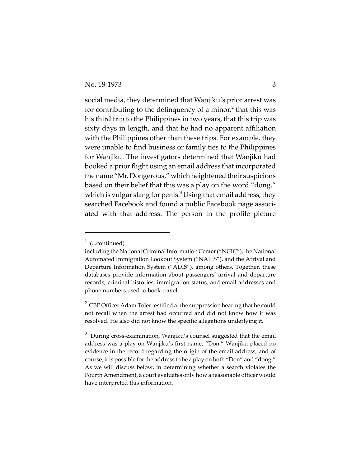social media, they determined that Wanjiku's prior arrest was for contributing to the delinquency of a minor, $^2$  that this was his third trip to the Philippines in two years, that this trip was sixty days in length, and that he had no apparent affiliation with the Philippines other than these trips. For example, they were unable to find business or family ties to the Philippines for Wanjiku. The investigators determined that Wanjiku had booked a prior flight using an email address that incorporated the name "Mr. Dongerous," which heightened their suspicions based on their belief that this was a play on the word "dong," which is vulgar slang for penis. $^3$  Using that email address, they searched Facebook and found a public Facebook page associated with that address. The person in the profile picture

 $1$  (...continued)

including the National Criminal Information Center ("NCIC"), the National Automated Immigration Lookout System ("NAILS"), and the Arrival and Departure Information System ("ADIS"), among others. Together, these databases provide information about passengers' arrival and departure records, criminal histories, immigration status, and email addresses and phone numbers used to book travel.

 $^2$  CBP Officer Adam Toler testified at the suppression hearing that he could not recall when the arrest had occurred and did not know how it was resolved. He also did not know the specific allegations underlying it.

 $3$  During cross-examination, Wanjiku's counsel suggested that the email address was a play on Wanjiku's first name, "Don." Wanjiku placed no evidence in the record regarding the origin of the email address, and of course, it is possible for the address to be a play on both "Don" and "dong." As we will discuss below, in determining whether a search violates the Fourth Amendment, a court evaluates only how a reasonable officer would have interpreted this information.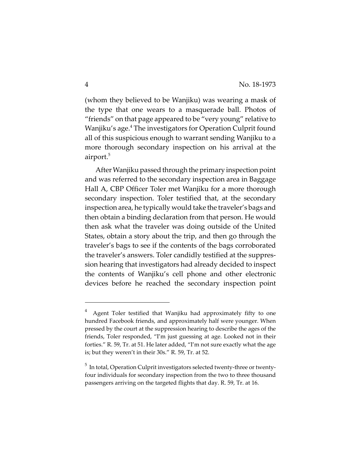(whom they believed to be Wanjiku) was wearing a mask of the type that one wears to a masquerade ball. Photos of "friends" on that page appeared to be "very young" relative to Wanjiku's age.<sup>4</sup> The investigators for Operation Culprit found all of this suspicious enough to warrant sending Wanjiku to a more thorough secondary inspection on his arrival at the airport.<sup>5</sup>

After Wanjiku passed through the primary inspection point and was referred to the secondary inspection area in Baggage Hall A, CBP Officer Toler met Wanjiku for a more thorough secondary inspection. Toler testified that, at the secondary inspection area, he typically would take the traveler's bags and then obtain a binding declaration from that person. He would then ask what the traveler was doing outside of the United States, obtain a story about the trip, and then go through the traveler's bags to see if the contents of the bags corroborated the traveler's answers. Toler candidly testified at the suppression hearing that investigators had already decided to inspect the contents of Wanjiku's cell phone and other electronic devices before he reached the secondary inspection point

<sup>4</sup> Agent Toler testified that Wanjiku had approximately fifty to one hundred Facebook friends, and approximately half were younger. When pressed by the court at the suppression hearing to describe the ages of the friends, Toler responded, "I'm just guessing at age. Looked not in their forties." R. 59, Tr. at 51. He later added, "I'm not sure exactly what the age is; but they weren't in their 30s." R. 59, Tr. at 52.

 $^5$  In total, Operation Culprit investigators selected twenty-three or twentyfour individuals for secondary inspection from the two to three thousand passengers arriving on the targeted flights that day. R. 59, Tr. at 16.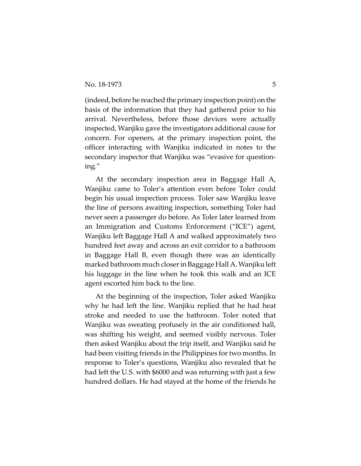(indeed, before he reached the primary inspection point) on the basis of the information that they had gathered prior to his arrival. Nevertheless, before those devices were actually inspected, Wanjiku gave the investigators additional cause for concern. For openers, at the primary inspection point, the officer interacting with Wanjiku indicated in notes to the secondary inspector that Wanjiku was "evasive for questioning."

At the secondary inspection area in Baggage Hall A, Wanjiku came to Toler's attention even before Toler could begin his usual inspection process. Toler saw Wanjiku leave the line of persons awaiting inspection, something Toler had never seen a passenger do before. As Toler later learned from an Immigration and Customs Enforcement ("ICE") agent, Wanjiku left Baggage Hall A and walked approximately two hundred feet away and across an exit corridor to a bathroom in Baggage Hall B, even though there was an identically marked bathroom much closer in Baggage Hall A. Wanjiku left his luggage in the line when he took this walk and an ICE agent escorted him back to the line.

At the beginning of the inspection, Toler asked Wanjiku why he had left the line. Wanjiku replied that he had heat stroke and needed to use the bathroom. Toler noted that Wanjiku was sweating profusely in the air conditioned hall, was shifting his weight, and seemed visibly nervous. Toler then asked Wanjiku about the trip itself, and Wanjiku said he had been visiting friends in the Philippines for two months. In response to Toler's questions, Wanjiku also revealed that he had left the U.S. with \$6000 and was returning with just a few hundred dollars. He had stayed at the home of the friends he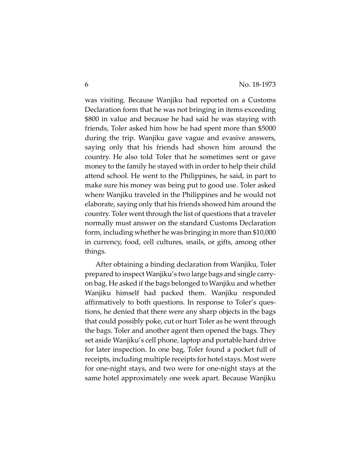was visiting. Because Wanjiku had reported on a Customs Declaration form that he was not bringing in items exceeding \$800 in value and because he had said he was staying with friends, Toler asked him how he had spent more than \$5000 during the trip. Wanjiku gave vague and evasive answers, saying only that his friends had shown him around the country. He also told Toler that he sometimes sent or gave money to the family he stayed with in order to help their child attend school. He went to the Philippines, he said, in part to make sure his money was being put to good use. Toler asked where Wanjiku traveled in the Philippines and he would not elaborate, saying only that his friends showed him around the country. Toler went through the list of questions that a traveler normally must answer on the standard Customs Declaration form, including whether he was bringing in more than \$10,000 in currency, food, cell cultures, snails, or gifts, among other things.

After obtaining a binding declaration from Wanjiku, Toler prepared to inspect Wanjiku's two large bags and single carryon bag. He asked if the bags belonged to Wanjiku and whether Wanjiku himself had packed them. Wanjiku responded affirmatively to both questions. In response to Toler's questions, he denied that there were any sharp objects in the bags that could possibly poke, cut or hurt Toler as he went through the bags. Toler and another agent then opened the bags. They set aside Wanjiku's cell phone, laptop and portable hard drive for later inspection. In one bag, Toler found a pocket full of receipts, including multiple receipts for hotel stays. Most were for one-night stays, and two were for one-night stays at the same hotel approximately one week apart. Because Wanjiku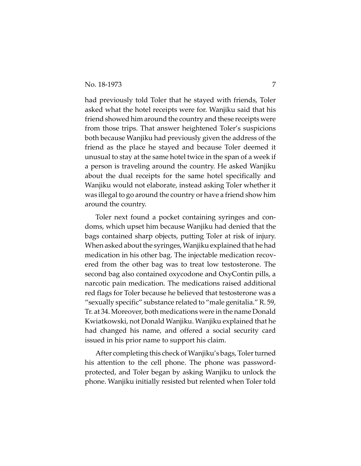had previously told Toler that he stayed with friends, Toler asked what the hotel receipts were for. Wanjiku said that his friend showed him around the country and these receipts were from those trips. That answer heightened Toler's suspicions both because Wanjiku had previously given the address of the friend as the place he stayed and because Toler deemed it unusual to stay at the same hotel twice in the span of a week if a person is traveling around the country. He asked Wanjiku about the dual receipts for the same hotel specifically and Wanjiku would not elaborate, instead asking Toler whether it was illegal to go around the country or have a friend show him around the country.

Toler next found a pocket containing syringes and condoms, which upset him because Wanjiku had denied that the bags contained sharp objects, putting Toler at risk of injury. When asked about the syringes, Wanjiku explained that he had medication in his other bag. The injectable medication recovered from the other bag was to treat low testosterone. The second bag also contained oxycodone and OxyContin pills, a narcotic pain medication. The medications raised additional red flags for Toler because he believed that testosterone was a "sexually specific" substance related to "male genitalia." R. 59, Tr. at 34. Moreover, both medications were in the name Donald Kwiatkowski, not Donald Wanjiku. Wanjiku explained that he had changed his name, and offered a social security card issued in his prior name to support his claim.

After completing this check of Wanjiku's bags, Toler turned his attention to the cell phone. The phone was passwordprotected, and Toler began by asking Wanjiku to unlock the phone. Wanjiku initially resisted but relented when Toler told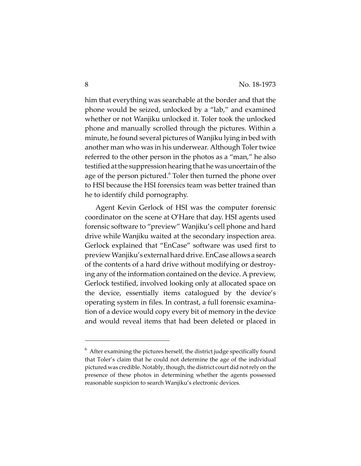him that everything was searchable at the border and that the phone would be seized, unlocked by a "lab," and examined whether or not Wanjiku unlocked it. Toler took the unlocked phone and manually scrolled through the pictures. Within a minute, he found several pictures of Wanjiku lying in bed with another man who was in his underwear. Although Toler twice referred to the other person in the photos as a "man," he also testified at the suppression hearing that he was uncertain of the age of the person pictured. $^6$  Toler then turned the phone over to HSI because the HSI forensics team was better trained than he to identify child pornography.

Agent Kevin Gerlock of HSI was the computer forensic coordinator on the scene at O'Hare that day. HSI agents used forensic software to "preview" Wanjiku's cell phone and hard drive while Wanjiku waited at the secondary inspection area. Gerlock explained that "EnCase" software was used first to preview Wanjiku's external hard drive. EnCase allows a search of the contents of a hard drive without modifying or destroying any of the information contained on the device. A preview, Gerlock testified, involved looking only at allocated space on the device, essentially items catalogued by the device's operating system in files. In contrast, a full forensic examination of a device would copy every bit of memory in the device and would reveal items that had been deleted or placed in

 $^6$  After examining the pictures herself, the district judge specifically found that Toler's claim that he could not determine the age of the individual pictured was credible. Notably, though, the district court did not rely on the presence of these photos in determining whether the agents possessed reasonable suspicion to search Wanjiku's electronic devices.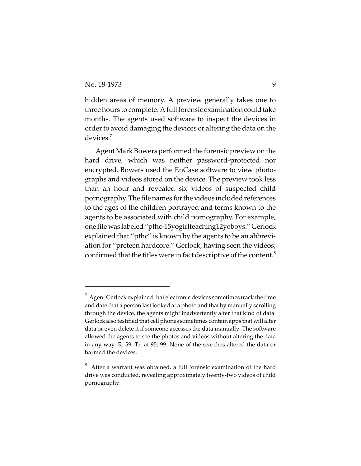hidden areas of memory. A preview generally takes one to three hours to complete. A full forensic examination could take months. The agents used software to inspect the devices in order to avoid damaging the devices or altering the data on the devices.7

Agent Mark Bowers performed the forensic preview on the hard drive, which was neither password-protected nor encrypted. Bowers used the EnCase software to view photographs and videos stored on the device. The preview took less than an hour and revealed six videos of suspected child pornography. The file names for the videos included references to the ages of the children portrayed and terms known to the agents to be associated with child pornography. For example, one file was labeled "pthc-15yogirlteaching12yoboys." Gerlock explained that "pthc" is known by the agents to be an abbreviation for "preteen hardcore." Gerlock, having seen the videos, confirmed that the titles were in fact descriptive of the content.<sup>8</sup>

 $^7$  Agent Gerlock explained that electronic devices sometimes track the time and date that a person last looked at a photo and that by manually scrolling through the device, the agents might inadvertently alter that kind of data. Gerlock also testified that cell phones sometimes contain apps that will alter data or even delete it if someone accesses the data manually. The software allowed the agents to see the photos and videos without altering the data in any way. R. 59, Tr. at 95, 99. None of the searches altered the data or harmed the devices.

 $8$  After a warrant was obtained, a full forensic examination of the hard drive was conducted, revealing approximately twenty-two videos of child pornography.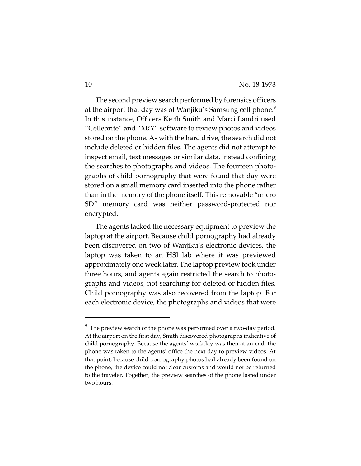The second preview search performed by forensics officers at the airport that day was of Wanjiku's Samsung cell phone.<sup>9</sup> In this instance, Officers Keith Smith and Marci Landri used "Cellebrite" and "XRY" software to review photos and videos stored on the phone. As with the hard drive, the search did not include deleted or hidden files. The agents did not attempt to inspect email, text messages or similar data, instead confining the searches to photographs and videos. The fourteen photographs of child pornography that were found that day were stored on a small memory card inserted into the phone rather than in the memory of the phone itself. This removable "micro SD" memory card was neither password-protected nor encrypted.

The agents lacked the necessary equipment to preview the laptop at the airport. Because child pornography had already been discovered on two of Wanjiku's electronic devices, the laptop was taken to an HSI lab where it was previewed approximately one week later. The laptop preview took under three hours, and agents again restricted the search to photographs and videos, not searching for deleted or hidden files. Child pornography was also recovered from the laptop. For each electronic device, the photographs and videos that were

 $9^9$  The preview search of the phone was performed over a two-day period. At the airport on the first day, Smith discovered photographs indicative of child pornography. Because the agents' workday was then at an end, the phone was taken to the agents' office the next day to preview videos. At that point, because child pornography photos had already been found on the phone, the device could not clear customs and would not be returned to the traveler. Together, the preview searches of the phone lasted under two hours.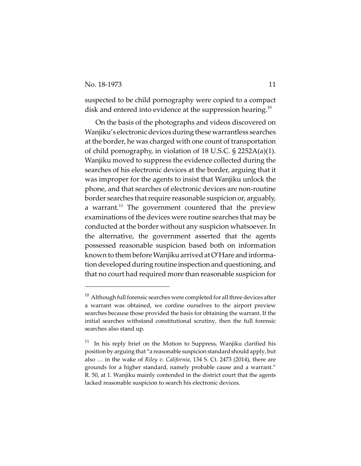suspected to be child pornography were copied to a compact disk and entered into evidence at the suppression hearing.<sup>10</sup>

On the basis of the photographs and videos discovered on Wanjiku's electronic devices during these warrantless searches at the border, he was charged with one count of transportation of child pornography, in violation of 18 U.S.C. § 2252A(a)(1). Wanjiku moved to suppress the evidence collected during the searches of his electronic devices at the border, arguing that it was improper for the agents to insist that Wanjiku unlock the phone, and that searches of electronic devices are non-routine border searches that require reasonable suspicion or, arguably, a warrant.<sup>11</sup> The government countered that the preview examinations of the devices were routine searches that may be conducted at the border without any suspicion whatsoever. In the alternative, the government asserted that the agents possessed reasonable suspicion based both on information known to them before Wanjiku arrived at O'Hare and information developed during routine inspection and questioning, and that no court had required more than reasonable suspicion for

 $10$  Although full forensic searches were completed for all three devices after a warrant was obtained, we confine ourselves to the airport preview searches because those provided the basis for obtaining the warrant. If the initial searches withstand constitutional scrutiny, then the full forensic searches also stand up.

 $11$  In his reply brief on the Motion to Suppress, Wanjiku clarified his position by arguing that "a reasonable suspicion standard should apply, but also … in the wake of *Riley v. California*, 134 S. Ct. 2473 (2014), there are grounds for a higher standard, namely probable cause and a warrant." R. 50, at 1. Wanjiku mainly contended in the district court that the agents lacked reasonable suspicion to search his electronic devices.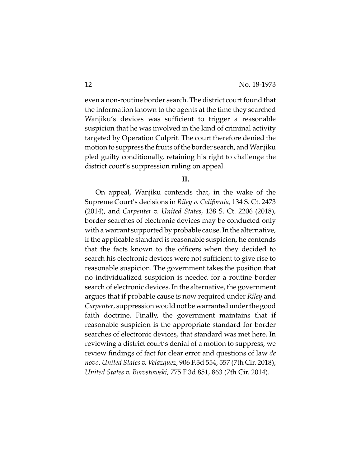even a non-routine border search. The district court found that the information known to the agents at the time they searched Wanjiku's devices was sufficient to trigger a reasonable suspicion that he was involved in the kind of criminal activity targeted by Operation Culprit. The court therefore denied the motion to suppress the fruits of the border search, and Wanjiku pled guilty conditionally, retaining his right to challenge the district court's suppression ruling on appeal.

#### **II.**

On appeal, Wanjiku contends that, in the wake of the Supreme Court's decisions in *Riley v. California*, 134 S. Ct. 2473 (2014), and *Carpenter v. United States*, 138 S. Ct. 2206 (2018), border searches of electronic devices may be conducted only with a warrant supported by probable cause. In the alternative, if the applicable standard is reasonable suspicion, he contends that the facts known to the officers when they decided to search his electronic devices were not sufficient to give rise to reasonable suspicion. The government takes the position that no individualized suspicion is needed for a routine border search of electronic devices. In the alternative, the government argues that if probable cause is now required under *Riley* and *Carpenter*, suppression would not be warranted under the good faith doctrine. Finally, the government maintains that if reasonable suspicion is the appropriate standard for border searches of electronic devices, that standard was met here. In reviewing a district court's denial of a motion to suppress, we review findings of fact for clear error and questions of law *de novo*. *United States v. Velazquez*, 906 F.3d 554, 557 (7th Cir. 2018); *United States v. Borostowski*, 775 F.3d 851, 863 (7th Cir. 2014).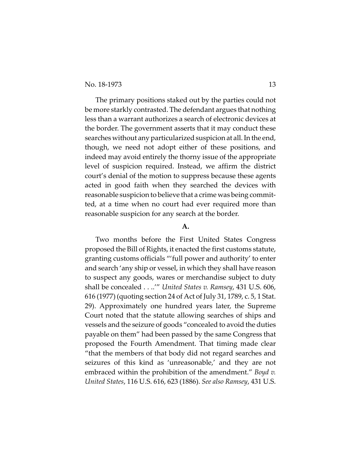The primary positions staked out by the parties could not be more starkly contrasted. The defendant argues that nothing less than a warrant authorizes a search of electronic devices at the border. The government asserts that it may conduct these searches without any particularized suspicion at all. In the end, though, we need not adopt either of these positions, and indeed may avoid entirely the thorny issue of the appropriate level of suspicion required. Instead, we affirm the district court's denial of the motion to suppress because these agents acted in good faith when they searched the devices with reasonable suspicion to believe that a crime was being committed, at a time when no court had ever required more than reasonable suspicion for any search at the border.

#### **A.**

Two months before the First United States Congress proposed the Bill of Rights, it enacted the first customs statute, granting customs officials "'full power and authority' to enter and search 'any ship or vessel, in which they shall have reason to suspect any goods, wares or merchandise subject to duty shall be concealed . . ..'" *United States v. Ramsey*, 431 U.S. 606, 616 (1977) (quoting section 24 of Act of July 31, 1789, c. 5, 1 Stat. 29). Approximately one hundred years later, the Supreme Court noted that the statute allowing searches of ships and vessels and the seizure of goods "concealed to avoid the duties payable on them" had been passed by the same Congress that proposed the Fourth Amendment. That timing made clear "that the members of that body did not regard searches and seizures of this kind as 'unreasonable,' and they are not embraced within the prohibition of the amendment." *Boyd v. United States*, 116 U.S. 616, 623 (1886). *See also Ramsey*, 431 U.S.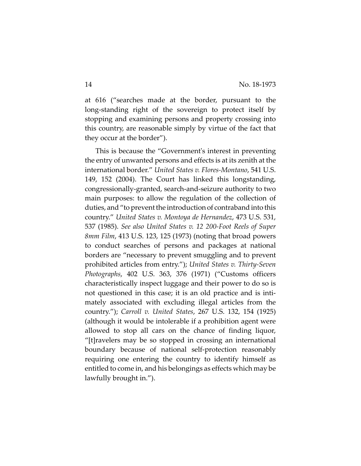at 616 ("searches made at the border, pursuant to the long-standing right of the sovereign to protect itself by stopping and examining persons and property crossing into this country, are reasonable simply by virtue of the fact that they occur at the border").

This is because the "Government's interest in preventing the entry of unwanted persons and effects is at its zenith at the international border." *United States v. Flores-Montano*, 541 U.S. 149, 152 (2004). The Court has linked this longstanding, congressionally-granted, search-and-seizure authority to two main purposes: to allow the regulation of the collection of duties, and "to prevent the introduction of contraband into this country." *United States v. Montoya de Hernandez*, 473 U.S. 531, 537 (1985). *See also United States v. 12 200-Foot Reels of Super 8mm Film*, 413 U.S. 123, 125 (1973) (noting that broad powers to conduct searches of persons and packages at national borders are "necessary to prevent smuggling and to prevent prohibited articles from entry."); *United States v. Thirty-Seven Photographs*, 402 U.S. 363, 376 (1971) ("Customs officers characteristically inspect luggage and their power to do so is not questioned in this case; it is an old practice and is intimately associated with excluding illegal articles from the country."); *Carroll v. United States*, 267 U.S. 132, 154 (1925) (although it would be intolerable if a prohibition agent were allowed to stop all cars on the chance of finding liquor, "[t]ravelers may be so stopped in crossing an international boundary because of national self-protection reasonably requiring one entering the country to identify himself as entitled to come in, and his belongings as effects which may be lawfully brought in.").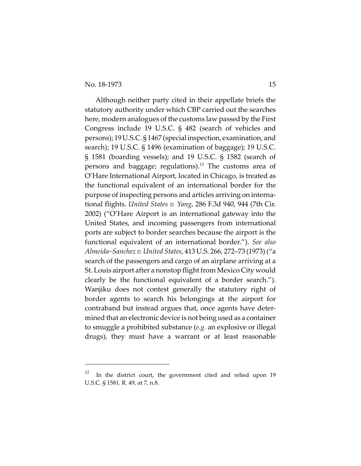Although neither party cited in their appellate briefs the statutory authority under which CBP carried out the searches here, modern analogues of the customs law passed by the First Congress include 19 U.S.C. § 482 (search of vehicles and persons); 19 U.S.C. § 1467 (special inspection, examination, and search); 19 U.S.C. § 1496 (examination of baggage); 19 U.S.C. § 1581 (boarding vessels); and 19 U.S.C. § 1582 (search of persons and baggage; regulations).<sup>12</sup> The customs area of O'Hare International Airport, located in Chicago, is treated as the functional equivalent of an international border for the purpose of inspecting persons and articles arriving on international flights. *United States v. Yang*, 286 F.3d 940, 944 (7th Cir. 2002) ("O'Hare Airport is an international gateway into the United States, and incoming passengers from international ports are subject to border searches because the airport is the functional equivalent of an international border."). *See also Almeida–Sanchez v. United States*, 413 U.S. 266, 272–73 (1973) ("a search of the passengers and cargo of an airplane arriving at a St. Louis airport after a nonstop flight from Mexico City would clearly be the functional equivalent of a border search."). Wanjiku does not contest generally the statutory right of border agents to search his belongings at the airport for contraband but instead argues that, once agents have determined that an electronic device is not being used as a container to smuggle a prohibited substance (*e.g.* an explosive or illegal drugs), they must have a warrant or at least reasonable

In the district court, the government cited and relied upon 19 U.S.C. § 1581. R. 49, at 7, n.8.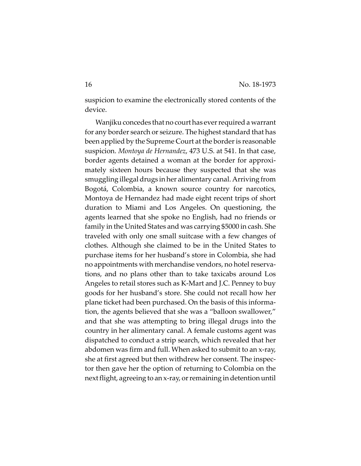suspicion to examine the electronically stored contents of the device.

Wanjiku concedes that no court has ever required a warrant for any border search or seizure. The highest standard that has been applied by the Supreme Court at the border is reasonable suspicion. *Montoya de Hernandez*, 473 U.S. at 541. In that case, border agents detained a woman at the border for approximately sixteen hours because they suspected that she was smuggling illegal drugs in her alimentary canal. Arriving from Bogotá, Colombia, a known source country for narcotics, Montoya de Hernandez had made eight recent trips of short duration to Miami and Los Angeles. On questioning, the agents learned that she spoke no English, had no friends or family in the United States and was carrying \$5000 in cash. She traveled with only one small suitcase with a few changes of clothes. Although she claimed to be in the United States to purchase items for her husband's store in Colombia, she had no appointments with merchandise vendors, no hotel reservations, and no plans other than to take taxicabs around Los Angeles to retail stores such as K-Mart and J.C. Penney to buy goods for her husband's store. She could not recall how her plane ticket had been purchased. On the basis of this information, the agents believed that she was a "balloon swallower," and that she was attempting to bring illegal drugs into the country in her alimentary canal. A female customs agent was dispatched to conduct a strip search, which revealed that her abdomen was firm and full. When asked to submit to an x-ray, she at first agreed but then withdrew her consent. The inspector then gave her the option of returning to Colombia on the next flight, agreeing to an x-ray, or remaining in detention until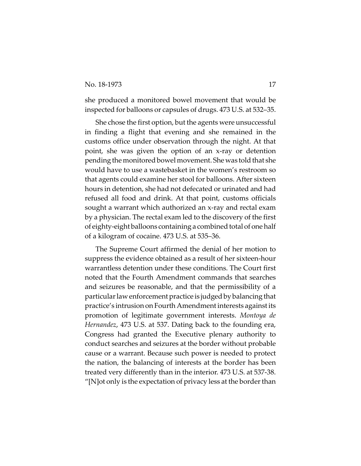she produced a monitored bowel movement that would be inspected for balloons or capsules of drugs. 473 U.S. at 532–35.

She chose the first option, but the agents were unsuccessful in finding a flight that evening and she remained in the customs office under observation through the night. At that point, she was given the option of an x-ray or detention pending the monitored bowel movement. She was told that she would have to use a wastebasket in the women's restroom so that agents could examine her stool for balloons. After sixteen hours in detention, she had not defecated or urinated and had refused all food and drink. At that point, customs officials sought a warrant which authorized an x-ray and rectal exam by a physician. The rectal exam led to the discovery of the first of eighty-eight balloons containing a combined total of one half of a kilogram of cocaine. 473 U.S. at 535–36.

The Supreme Court affirmed the denial of her motion to suppress the evidence obtained as a result of her sixteen-hour warrantless detention under these conditions. The Court first noted that the Fourth Amendment commands that searches and seizures be reasonable, and that the permissibility of a particular law enforcement practice is judged by balancing that practice's intrusion on Fourth Amendment interests against its promotion of legitimate government interests. *Montoya de Hernandez*, 473 U.S. at 537. Dating back to the founding era, Congress had granted the Executive plenary authority to conduct searches and seizures at the border without probable cause or a warrant. Because such power is needed to protect the nation, the balancing of interests at the border has been treated very differently than in the interior. 473 U.S. at 537-38. "[N]ot only is the expectation of privacy less at the border than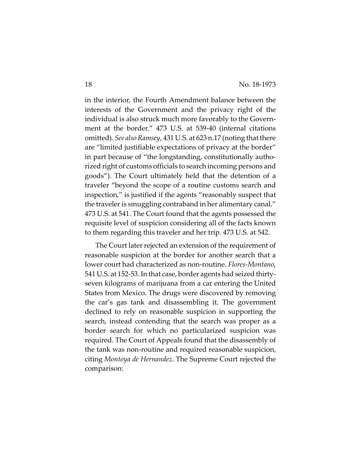in the interior, the Fourth Amendment balance between the interests of the Government and the privacy right of the individual is also struck much more favorably to the Government at the border." 473 U.S. at 539-40 (internal citations omitted). *See also Ramsey*, 431 U.S. at 623 n.17 (noting that there are "limited justifiable expectations of privacy at the border" in part because of "the longstanding, constitutionally authorized right of customs officials to search incoming persons and goods"). The Court ultimately held that the detention of a traveler "beyond the scope of a routine customs search and inspection," is justified if the agents "reasonably suspect that the traveler is smuggling contraband in her alimentary canal." 473 U.S. at 541. The Court found that the agents possessed the requisite level of suspicion considering all of the facts known to them regarding this traveler and her trip. 473 U.S. at 542.

The Court later rejected an extension of the requirement of reasonable suspicion at the border for another search that a lower court had characterized as non-routine. *Flores-Montano*, 541 U.S. at 152-53. In that case, border agents had seized thirtyseven kilograms of marijuana from a car entering the United States from Mexico. The drugs were discovered by removing the car's gas tank and disassembling it. The government declined to rely on reasonable suspicion in supporting the search, instead contending that the search was proper as a border search for which no particularized suspicion was required. The Court of Appeals found that the disassembly of the tank was non-routine and required reasonable suspicion, citing *Montoya de Hernandez*. The Supreme Court rejected the comparison: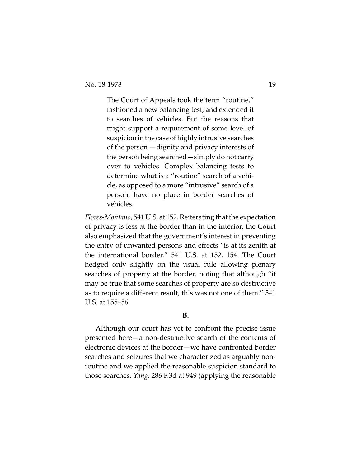The Court of Appeals took the term "routine," fashioned a new balancing test, and extended it to searches of vehicles. But the reasons that might support a requirement of some level of suspicion in the case of highly intrusive searches of the person —dignity and privacy interests of the person being searched—simply do not carry over to vehicles. Complex balancing tests to determine what is a "routine" search of a vehicle, as opposed to a more "intrusive" search of a person, have no place in border searches of vehicles.

*Flores-Montano*, 541 U.S. at 152. Reiterating that the expectation of privacy is less at the border than in the interior, the Court also emphasized that the government's interest in preventing the entry of unwanted persons and effects "is at its zenith at the international border." 541 U.S. at 152, 154. The Court hedged only slightly on the usual rule allowing plenary searches of property at the border, noting that although "it may be true that some searches of property are so destructive as to require a different result, this was not one of them." 541 U.S. at 155–56.

## **B.**

Although our court has yet to confront the precise issue presented here—a non-destructive search of the contents of electronic devices at the border—we have confronted border searches and seizures that we characterized as arguably nonroutine and we applied the reasonable suspicion standard to those searches. *Yang*, 286 F.3d at 949 (applying the reasonable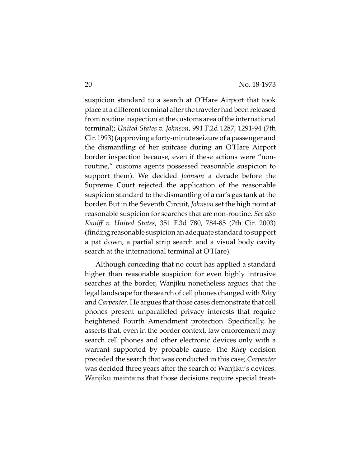suspicion standard to a search at O'Hare Airport that took place at a different terminal after the traveler had been released from routine inspection at the customs area of the international terminal); *United States v. Johnson*, 991 F.2d 1287, 1291-94 (7th Cir. 1993) (approving a forty-minute seizure of a passenger and the dismantling of her suitcase during an O'Hare Airport border inspection because, even if these actions were "nonroutine," customs agents possessed reasonable suspicion to support them). We decided *Johnson* a decade before the Supreme Court rejected the application of the reasonable suspicion standard to the dismantling of a car's gas tank at the border. But in the Seventh Circuit, *Johnson* set the high point at reasonable suspicion for searches that are non-routine. *See also Kaniff v. United States*, 351 F.3d 780, 784-85 (7th Cir. 2003) (finding reasonable suspicion an adequate standard to support a pat down, a partial strip search and a visual body cavity search at the international terminal at O'Hare).

Although conceding that no court has applied a standard higher than reasonable suspicion for even highly intrusive searches at the border, Wanjiku nonetheless argues that the legal landscape for the search of cell phones changed with *Riley* and *Carpenter*. He argues that those cases demonstrate that cell phones present unparalleled privacy interests that require heightened Fourth Amendment protection. Specifically, he asserts that, even in the border context, law enforcement may search cell phones and other electronic devices only with a warrant supported by probable cause. The *Riley* decision preceded the search that was conducted in this case; *Carpenter* was decided three years after the search of Wanjiku's devices. Wanjiku maintains that those decisions require special treat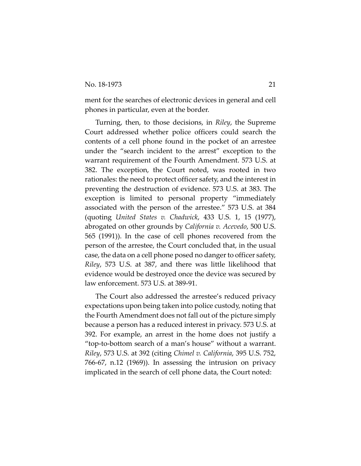ment for the searches of electronic devices in general and cell phones in particular, even at the border.

Turning, then, to those decisions, in *Riley*, the Supreme Court addressed whether police officers could search the contents of a cell phone found in the pocket of an arrestee under the "search incident to the arrest" exception to the warrant requirement of the Fourth Amendment. 573 U.S. at 382. The exception, the Court noted, was rooted in two rationales: the need to protect officer safety, and the interest in preventing the destruction of evidence. 573 U.S. at 383. The exception is limited to personal property "immediately associated with the person of the arrestee." 573 U.S. at 384 (quoting *United States v. Chadwick*, 433 U.S. 1, 15 (1977), abrogated on other grounds by *California v. Acevedo*, 500 U.S. 565 (1991)). In the case of cell phones recovered from the person of the arrestee, the Court concluded that, in the usual case, the data on a cell phone posed no danger to officer safety, *Riley*, 573 U.S. at 387, and there was little likelihood that evidence would be destroyed once the device was secured by law enforcement. 573 U.S. at 389-91.

The Court also addressed the arrestee's reduced privacy expectations upon being taken into police custody, noting that the Fourth Amendment does not fall out of the picture simply because a person has a reduced interest in privacy. 573 U.S. at 392. For example, an arrest in the home does not justify a "top-to-bottom search of a man's house" without a warrant. *Riley*, 573 U.S. at 392 (citing *Chimel v. California*, 395 U.S. 752, 766-67, n.12 (1969)). In assessing the intrusion on privacy implicated in the search of cell phone data, the Court noted: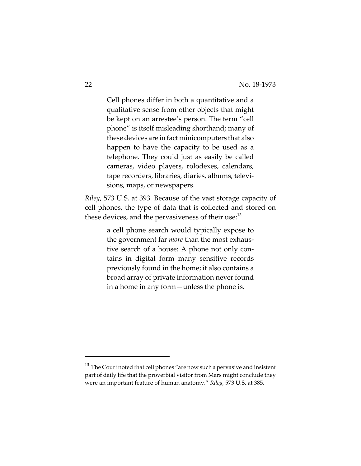Cell phones differ in both a quantitative and a qualitative sense from other objects that might be kept on an arrestee's person. The term "cell phone" is itself misleading shorthand; many of these devices are in fact minicomputers that also happen to have the capacity to be used as a telephone. They could just as easily be called cameras, video players, rolodexes, calendars, tape recorders, libraries, diaries, albums, televisions, maps, or newspapers.

*Riley*, 573 U.S. at 393. Because of the vast storage capacity of cell phones, the type of data that is collected and stored on these devices, and the pervasiveness of their use:<sup>13</sup>

> a cell phone search would typically expose to the government far *more* than the most exhaustive search of a house: A phone not only contains in digital form many sensitive records previously found in the home; it also contains a broad array of private information never found in a home in any form—unless the phone is.

 $^{13}$  The Court noted that cell phones "are now such a pervasive and insistent part of daily life that the proverbial visitor from Mars might conclude they were an important feature of human anatomy." *Riley*, 573 U.S. at 385.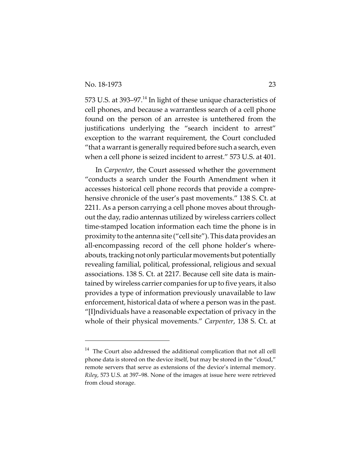573 U.S. at 393–97.<sup>14</sup> In light of these unique characteristics of cell phones, and because a warrantless search of a cell phone found on the person of an arrestee is untethered from the justifications underlying the "search incident to arrest" exception to the warrant requirement, the Court concluded "that a warrant is generally required before such a search, even when a cell phone is seized incident to arrest." 573 U.S. at 401.

In *Carpenter*, the Court assessed whether the government "conducts a search under the Fourth Amendment when it accesses historical cell phone records that provide a comprehensive chronicle of the user's past movements." 138 S. Ct. at 2211. As a person carrying a cell phone moves about throughout the day, radio antennas utilized by wireless carriers collect time-stamped location information each time the phone is in proximity to the antenna site ("cell site"). This data provides an all-encompassing record of the cell phone holder's whereabouts, tracking not only particular movements but potentially revealing familial, political, professional, religious and sexual associations. 138 S. Ct. at 2217. Because cell site data is maintained by wireless carrier companies for up to five years, it also provides a type of information previously unavailable to law enforcement, historical data of where a person was in the past. "[I]ndividuals have a reasonable expectation of privacy in the whole of their physical movements." *Carpenter*, 138 S. Ct. at

 $14$  The Court also addressed the additional complication that not all cell phone data is stored on the device itself, but may be stored in the "cloud," remote servers that serve as extensions of the device's internal memory. *Riley*, 573 U.S. at 397–98. None of the images at issue here were retrieved from cloud storage.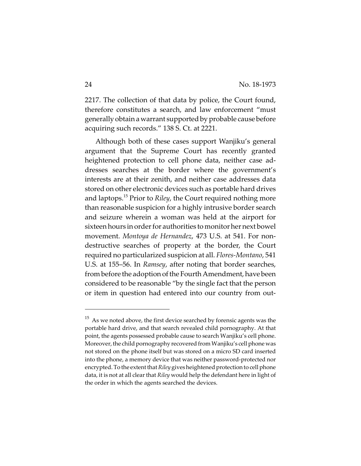2217. The collection of that data by police, the Court found, therefore constitutes a search, and law enforcement "must generally obtain a warrant supported by probable cause before acquiring such records." 138 S. Ct. at 2221.

Although both of these cases support Wanjiku's general argument that the Supreme Court has recently granted heightened protection to cell phone data, neither case addresses searches at the border where the government's interests are at their zenith, and neither case addresses data stored on other electronic devices such as portable hard drives and laptops.15 Prior to *Riley*, the Court required nothing more than reasonable suspicion for a highly intrusive border search and seizure wherein a woman was held at the airport for sixteen hours in order for authorities to monitor her next bowel movement. *Montoya de Hernandez*, 473 U.S. at 541. For nondestructive searches of property at the border, the Court required no particularized suspicion at all. *Flores-Montano*, 541 U.S. at 155–56. In *Ramsey*, after noting that border searches, from before the adoption of the Fourth Amendment, have been considered to be reasonable "by the single fact that the person or item in question had entered into our country from out-

 $^{15}\,$  As we noted above, the first device searched by forensic agents was the portable hard drive, and that search revealed child pornography. At that point, the agents possessed probable cause to search Wanjiku's cell phone. Moreover, the child pornography recovered from Wanjiku's cell phone was not stored on the phone itself but was stored on a micro SD card inserted into the phone, a memory device that was neither password-protected nor encrypted. To the extent that *Riley* gives heightened protection to cell phone data, it is not at all clear that *Riley* would help the defendant here in light of the order in which the agents searched the devices.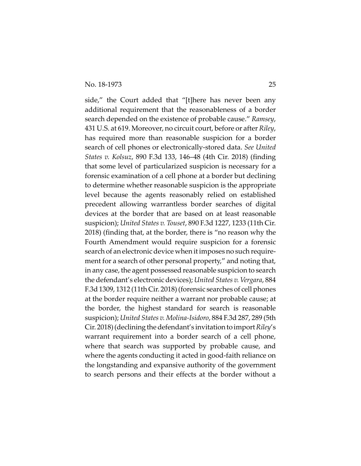side," the Court added that "[t]here has never been any additional requirement that the reasonableness of a border search depended on the existence of probable cause." *Ramsey*, 431 U.S. at 619. Moreover, no circuit court, before or after *Riley*, has required more than reasonable suspicion for a border search of cell phones or electronically-stored data. *See United States v. Kolsuz*, 890 F.3d 133, 146–48 (4th Cir. 2018) (finding that some level of particularized suspicion is necessary for a forensic examination of a cell phone at a border but declining to determine whether reasonable suspicion is the appropriate level because the agents reasonably relied on established precedent allowing warrantless border searches of digital devices at the border that are based on at least reasonable suspicion); *United States v. Touset*, 890 F.3d 1227, 1233 (11th Cir. 2018) (finding that, at the border, there is "no reason why the Fourth Amendment would require suspicion for a forensic search of an electronic device when it imposes no such requirement for a search of other personal property," and noting that, in any case, the agent possessed reasonable suspicion to search the defendant's electronic devices); *United States v. Vergara*, 884 F.3d 1309, 1312 (11th Cir. 2018) (forensic searches of cell phones at the border require neither a warrant nor probable cause; at the border, the highest standard for search is reasonable suspicion); *United States v. Molina-Isidoro*, 884 F.3d 287, 289 (5th Cir. 2018) (declining the defendant's invitation to import *Riley*'s warrant requirement into a border search of a cell phone, where that search was supported by probable cause, and where the agents conducting it acted in good-faith reliance on the longstanding and expansive authority of the government to search persons and their effects at the border without a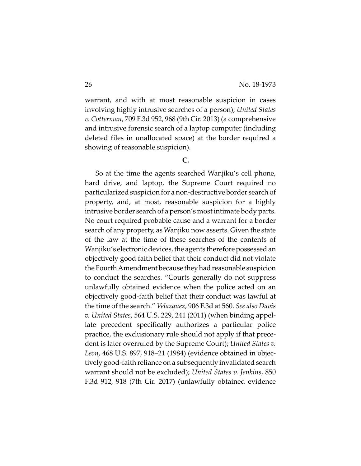warrant, and with at most reasonable suspicion in cases involving highly intrusive searches of a person); *United States v. Cotterman*, 709 F.3d 952, 968 (9th Cir. 2013) (a comprehensive and intrusive forensic search of a laptop computer (including deleted files in unallocated space) at the border required a showing of reasonable suspicion).

## **C.**

So at the time the agents searched Wanjiku's cell phone, hard drive, and laptop, the Supreme Court required no particularized suspicion for a non-destructive border search of property, and, at most, reasonable suspicion for a highly intrusive border search of a person's most intimate body parts. No court required probable cause and a warrant for a border search of any property, as Wanjiku now asserts. Given the state of the law at the time of these searches of the contents of Wanjiku's electronic devices, the agents therefore possessed an objectively good faith belief that their conduct did not violate the Fourth Amendment because they had reasonable suspicion to conduct the searches. "Courts generally do not suppress unlawfully obtained evidence when the police acted on an objectively good-faith belief that their conduct was lawful at the time of the search." *Velazquez*, 906 F.3d at 560. *See also Davis v. United States*, 564 U.S. 229, 241 (2011) (when binding appellate precedent specifically authorizes a particular police practice, the exclusionary rule should not apply if that precedent is later overruled by the Supreme Court); *United States v. Leon*, 468 U.S. 897, 918–21 (1984) (evidence obtained in objectively good-faith reliance on a subsequently invalidated search warrant should not be excluded); *United States v. Jenkins*, 850 F.3d 912, 918 (7th Cir. 2017) (unlawfully obtained evidence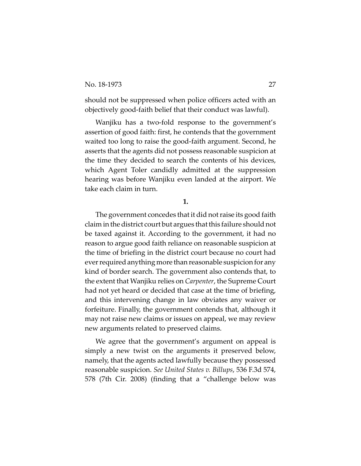should not be suppressed when police officers acted with an objectively good-faith belief that their conduct was lawful).

Wanjiku has a two-fold response to the government's assertion of good faith: first, he contends that the government waited too long to raise the good-faith argument. Second, he asserts that the agents did not possess reasonable suspicion at the time they decided to search the contents of his devices, which Agent Toler candidly admitted at the suppression hearing was before Wanjiku even landed at the airport. We take each claim in turn.

**1.**

The government concedes that it did not raise its good faith claim in the district court but argues that this failure should not be taxed against it. According to the government, it had no reason to argue good faith reliance on reasonable suspicion at the time of briefing in the district court because no court had ever required anything more than reasonable suspicion for any kind of border search. The government also contends that, to the extent that Wanjiku relies on *Carpenter*, the Supreme Court had not yet heard or decided that case at the time of briefing, and this intervening change in law obviates any waiver or forfeiture. Finally, the government contends that, although it may not raise new claims or issues on appeal, we may review new arguments related to preserved claims.

We agree that the government's argument on appeal is simply a new twist on the arguments it preserved below, namely, that the agents acted lawfully because they possessed reasonable suspicion. *See United States v. Billups*, 536 F.3d 574, 578 (7th Cir. 2008) (finding that a "challenge below was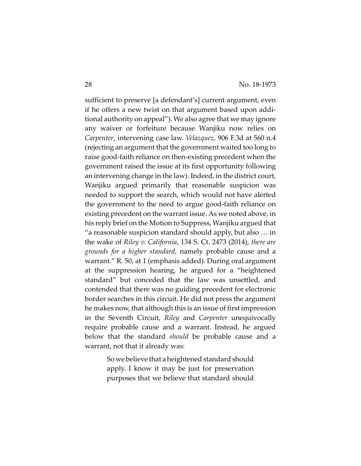sufficient to preserve [a defendant's] current argument, even if he offers a new twist on that argument based upon additional authority on appeal"). We also agree that we may ignore any waiver or forfeiture because Wanjiku now relies on *Carpenter*, intervening case law. *Velazquez*, 906 F.3d at 560 n.4 (rejecting an argument that the government waited too long to raise good-faith reliance on then-existing precedent when the government raised the issue at its first opportunity following an intervening change in the law). Indeed, in the district court, Wanjiku argued primarily that reasonable suspicion was needed to support the search, which would not have alerted the government to the need to argue good-faith reliance on existing precedent on the warrant issue. As we noted above, in his reply brief on the Motion to Suppress, Wanjiku argued that "a reasonable suspicion standard should apply, but also … in the wake of *Riley v. California*, 134 S. Ct. 2473 (2014), *there are grounds for a higher standard,* namely probable cause and a warrant." R. 50, at 1 (emphasis added). During oral argument at the suppression hearing, he argued for a "heightened standard" but conceded that the law was unsettled, and contended that there was no guiding precedent for electronic border searches in this circuit. He did not press the argument he makes now, that although this is an issue of first impression in the Seventh Circuit, *Riley* and *Carpenter* unequivocally require probable cause and a warrant. Instead, he argued below that the standard *should* be probable cause and a warrant, not that it already was:

> So we believe that a heightened standard should apply. I know it may be just for preservation purposes that we believe that standard should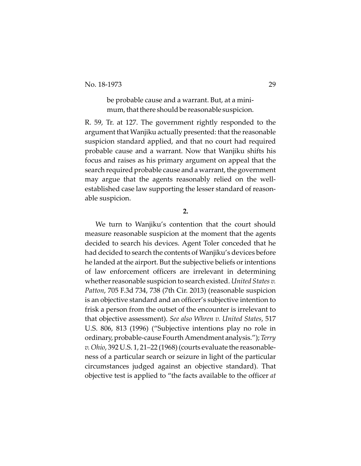be probable cause and a warrant. But, at a minimum, that there should be reasonable suspicion.

R. 59, Tr. at 127. The government rightly responded to the argument that Wanjiku actually presented: that the reasonable suspicion standard applied, and that no court had required probable cause and a warrant. Now that Wanjiku shifts his focus and raises as his primary argument on appeal that the search required probable cause and a warrant, the government may argue that the agents reasonably relied on the wellestablished case law supporting the lesser standard of reasonable suspicion.

**2.**

We turn to Wanjiku's contention that the court should measure reasonable suspicion at the moment that the agents decided to search his devices. Agent Toler conceded that he had decided to search the contents of Wanjiku's devices before he landed at the airport. But the subjective beliefs or intentions of law enforcement officers are irrelevant in determining whether reasonable suspicion to search existed. *United States v. Patton*, 705 F.3d 734, 738 (7th Cir. 2013) (reasonable suspicion is an objective standard and an officer's subjective intention to frisk a person from the outset of the encounter is irrelevant to that objective assessment). *See also Whren v. United States*, 517 U.S. 806, 813 (1996) ("Subjective intentions play no role in ordinary, probable-cause Fourth Amendment analysis."); *Terry v. Ohio*, 392 U.S. 1, 21–22 (1968) (courts evaluate the reasonableness of a particular search or seizure in light of the particular circumstances judged against an objective standard). That objective test is applied to "the facts available to the officer *at*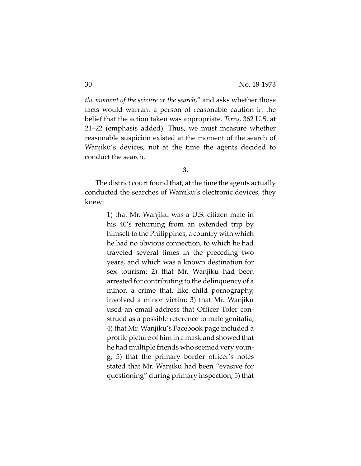*the moment of the seizure or the search*," and asks whether those facts would warrant a person of reasonable caution in the belief that the action taken was appropriate. *Terry*, 362 U.S. at 21–22 (emphasis added). Thus, we must measure whether reasonable suspicion existed at the moment of the search of Wanjiku's devices, not at the time the agents decided to conduct the search.

**3.**

The district court found that, at the time the agents actually conducted the searches of Wanjiku's electronic devices, they knew:

> 1) that Mr. Wanjiku was a U.S. citizen male in his 40's returning from an extended trip by himself to the Philippines, a country with which he had no obvious connection, to which he had traveled several times in the preceding two years, and which was a known destination for sex tourism; 2) that Mr. Wanjiku had been arrested for contributing to the delinquency of a minor, a crime that, like child pornography, involved a minor victim; 3) that Mr. Wanjiku used an email address that Officer Toler construed as a possible reference to male genitalia; 4) that Mr. Wanjiku's Facebook page included a profile picture of him in a mask and showed that he had multiple friends who seemed very young; 5) that the primary border officer's notes stated that Mr. Wanjiku had been "evasive for questioning" during primary inspection; 5) that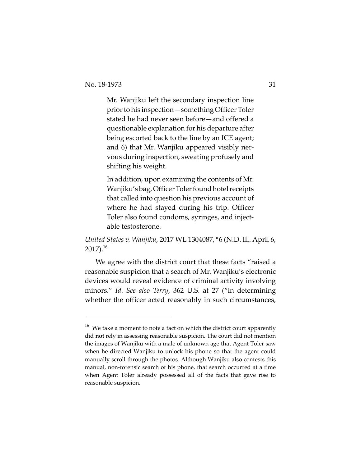Mr. Wanjiku left the secondary inspection line prior to his inspection—something Officer Toler stated he had never seen before—and offered a questionable explanation for his departure after being escorted back to the line by an ICE agent; and 6) that Mr. Wanjiku appeared visibly nervous during inspection, sweating profusely and shifting his weight.

In addition, upon examining the contents of Mr. Wanjiku's bag, Officer Toler found hotel receipts that called into question his previous account of where he had stayed during his trip. Officer Toler also found condoms, syringes, and injectable testosterone.

*United States v. Wanjiku*, 2017 WL 1304087, \*6 (N.D. Ill. April 6,  $2017$ ).<sup>16</sup>

We agree with the district court that these facts "raised a reasonable suspicion that a search of Mr. Wanjiku's electronic devices would reveal evidence of criminal activity involving minors." *Id*. *See also Terry*, 362 U.S. at 27 ("in determining whether the officer acted reasonably in such circumstances,

 $^{16}\,$  We take a moment to note a fact on which the district court apparently did **not** rely in assessing reasonable suspicion. The court did not mention the images of Wanjiku with a male of unknown age that Agent Toler saw when he directed Wanjiku to unlock his phone so that the agent could manually scroll through the photos. Although Wanjiku also contests this manual, non-forensic search of his phone, that search occurred at a time when Agent Toler already possessed all of the facts that gave rise to reasonable suspicion.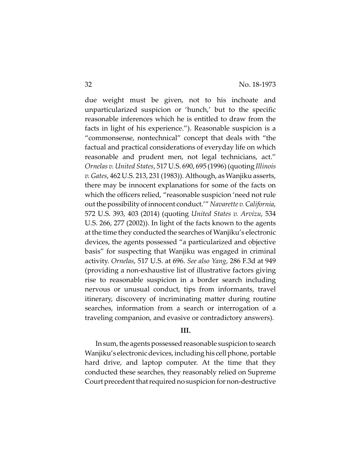due weight must be given, not to his inchoate and unparticularized suspicion or 'hunch,' but to the specific reasonable inferences which he is entitled to draw from the facts in light of his experience."). Reasonable suspicion is a "commonsense, nontechnical" concept that deals with "the factual and practical considerations of everyday life on which reasonable and prudent men, not legal technicians, act." *Ornelas v. United States*, 517 U.S. 690, 695 (1996) (quoting *Illinois v. Gates*, 462 U.S. 213, 231 (1983)). Although, as Wanjiku asserts, there may be innocent explanations for some of the facts on which the officers relied, "reasonable suspicion 'need not rule out the possibility of innocent conduct.'" *Navarette v. California*, 572 U.S. 393, 403 (2014) (quoting *United States v. Arvizu*, 534 U.S. 266, 277 (2002)). In light of the facts known to the agents at the time they conducted the searches of Wanjiku's electronic devices, the agents possessed "a particularized and objective basis" for suspecting that Wanjiku was engaged in criminal activity. *Ornelas*, 517 U.S. at 696. *See also Yang*, 286 F.3d at 949 (providing a non-exhaustive list of illustrative factors giving rise to reasonable suspicion in a border search including nervous or unusual conduct, tips from informants, travel itinerary, discovery of incriminating matter during routine searches, information from a search or interrogation of a traveling companion, and evasive or contradictory answers).

#### **III.**

In sum, the agents possessed reasonable suspicion to search Wanjiku's electronic devices, including his cell phone, portable hard drive, and laptop computer. At the time that they conducted these searches, they reasonably relied on Supreme Court precedent that required no suspicion for non-destructive